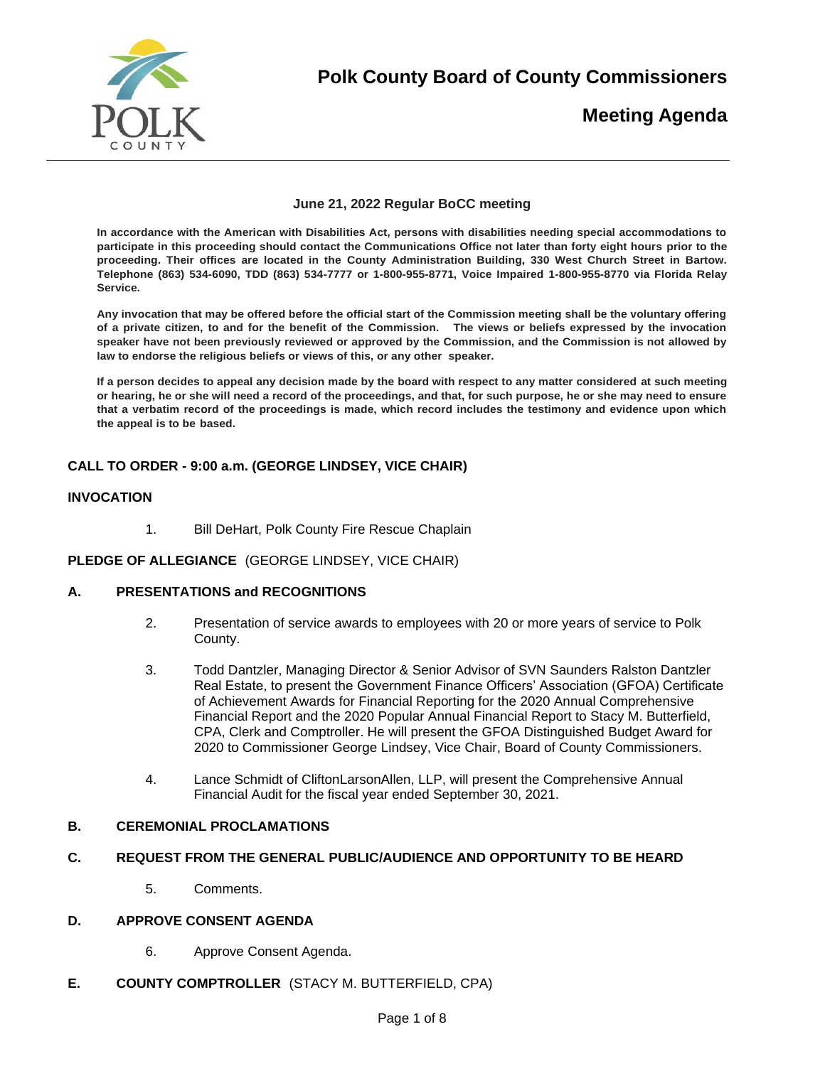

**Polk County Board of County Commissioners** 

# **Meeting Agenda**

## **June 21, 2022 Regular BoCC meeting**

**In accordance with the American with Disabilities Act, persons with disabilities needing special accommodations to participate in this proceeding should contact the Communications Office not later than forty eight hours prior to the proceeding. Their offices are located in the County Administration Building, 330 West Church Street in Bartow. Telephone (863) 534-6090, TDD (863) 534-7777 or 1-800-955-8771, Voice Impaired 1-800-955-8770 via Florida Relay Service.** 

**Any invocation that may be offered before the official start of the Commission meeting shall be the voluntary offering of a private citizen, to and for the benefit of the Commission. The views or beliefs expressed by the invocation speaker have not been previously reviewed or approved by the Commission, and the Commission is not allowed by law to endorse the religious beliefs or views of this, or any other speaker.**

**If a person decides to appeal any decision made by the board with respect to any matter considered at such meeting or hearing, he or she will need a record of the proceedings, and that, for such purpose, he or she may need to ensure that a verbatim record of the proceedings is made, which record includes the testimony and evidence upon which the appeal is to be based.** 

## **CALL TO ORDER - 9:00 a.m. (GEORGE LINDSEY, VICE CHAIR)**

## **INVOCATION**

1. Bill DeHart, Polk County Fire Rescue Chaplain

#### **PLEDGE OF ALLEGIANCE** (GEORGE LINDSEY, VICE CHAIR)

#### **A. PRESENTATIONS and RECOGNITIONS**

- 2. Presentation of service awards to employees with 20 or more years of service to Polk County.
- 3. Todd Dantzler, Managing Director & Senior Advisor of SVN Saunders Ralston Dantzler Real Estate, to present the Government Finance Officers' Association (GFOA) Certificate of Achievement Awards for Financial Reporting for the 2020 Annual Comprehensive Financial Report and the 2020 Popular Annual Financial Report to Stacy M. Butterfield, CPA, Clerk and Comptroller. He will present the GFOA Distinguished Budget Award for 2020 to Commissioner George Lindsey, Vice Chair, Board of County Commissioners.
- 4. Lance Schmidt of CliftonLarsonAllen, LLP, will present the Comprehensive Annual Financial Audit for the fiscal year ended September 30, 2021.

#### **B. CEREMONIAL PROCLAMATIONS**

#### **C. REQUEST FROM THE GENERAL PUBLIC/AUDIENCE AND OPPORTUNITY TO BE HEARD**

5. Comments.

## **D. APPROVE CONSENT AGENDA**

- 6. Approve Consent Agenda.
- **E. COUNTY COMPTROLLER** (STACY M. BUTTERFIELD, CPA)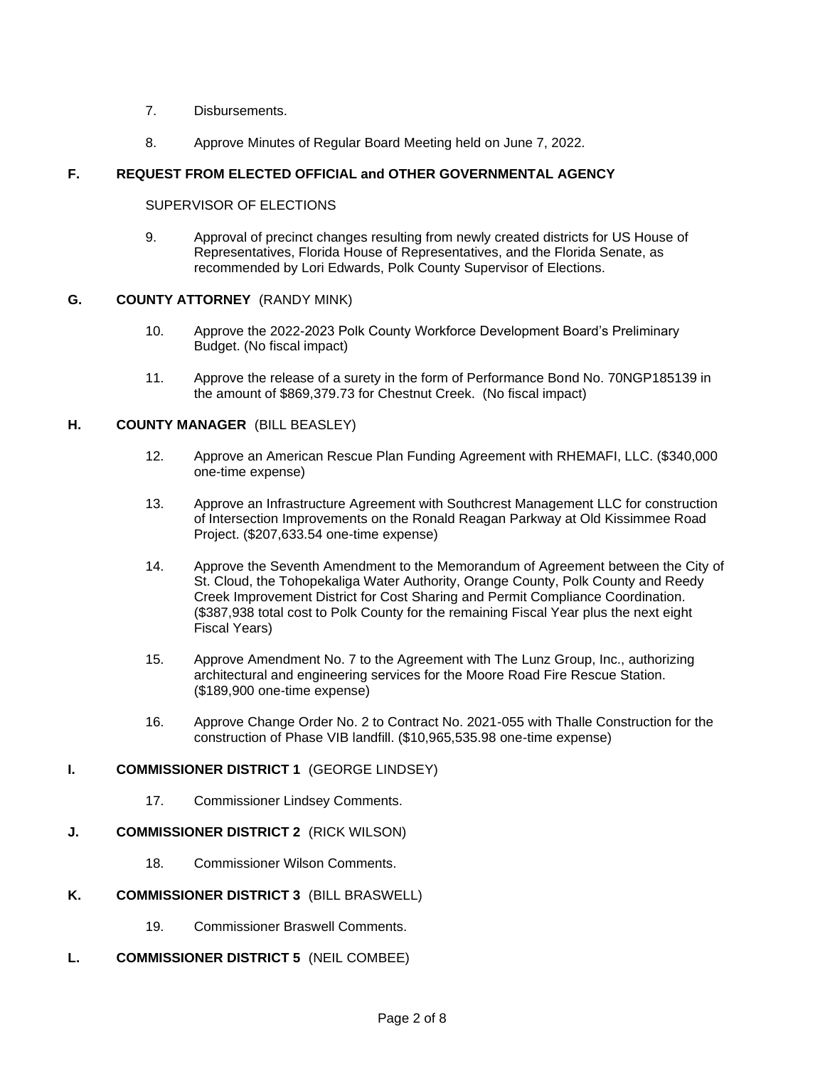- 7. Disbursements.
- 8. Approve Minutes of Regular Board Meeting held on June 7, 2022.

## **F. REQUEST FROM ELECTED OFFICIAL and OTHER GOVERNMENTAL AGENCY**

#### SUPERVISOR OF ELECTIONS

9. Approval of precinct changes resulting from newly created districts for US House of Representatives, Florida House of Representatives, and the Florida Senate, as recommended by Lori Edwards, Polk County Supervisor of Elections.

## **G. COUNTY ATTORNEY** (RANDY MINK)

- 10. Approve the 2022-2023 Polk County Workforce Development Board's Preliminary Budget. (No fiscal impact)
- 11. Approve the release of a surety in the form of Performance Bond No. 70NGP185139 in the amount of \$869,379.73 for Chestnut Creek. (No fiscal impact)

## **H. COUNTY MANAGER** (BILL BEASLEY)

- 12. Approve an American Rescue Plan Funding Agreement with RHEMAFI, LLC. (\$340,000 one-time expense)
- 13. Approve an Infrastructure Agreement with Southcrest Management LLC for construction of Intersection Improvements on the Ronald Reagan Parkway at Old Kissimmee Road Project. (\$207,633.54 one-time expense)
- 14. Approve the Seventh Amendment to the Memorandum of Agreement between the City of St. Cloud, the Tohopekaliga Water Authority, Orange County, Polk County and Reedy Creek Improvement District for Cost Sharing and Permit Compliance Coordination. (\$387,938 total cost to Polk County for the remaining Fiscal Year plus the next eight Fiscal Years)
- 15. Approve Amendment No. 7 to the Agreement with The Lunz Group, Inc., authorizing architectural and engineering services for the Moore Road Fire Rescue Station. (\$189,900 one-time expense)
- 16. Approve Change Order No. 2 to Contract No. 2021-055 with Thalle Construction for the construction of Phase VIB landfill. (\$10,965,535.98 one-time expense)

# **I. COMMISSIONER DISTRICT 1** (GEORGE LINDSEY)

17. Commissioner Lindsey Comments.

#### **J. COMMISSIONER DISTRICT 2** (RICK WILSON)

18. Commissioner Wilson Comments.

#### **K. COMMISSIONER DISTRICT 3** (BILL BRASWELL)

19. Commissioner Braswell Comments.

#### **L. COMMISSIONER DISTRICT 5** (NEIL COMBEE)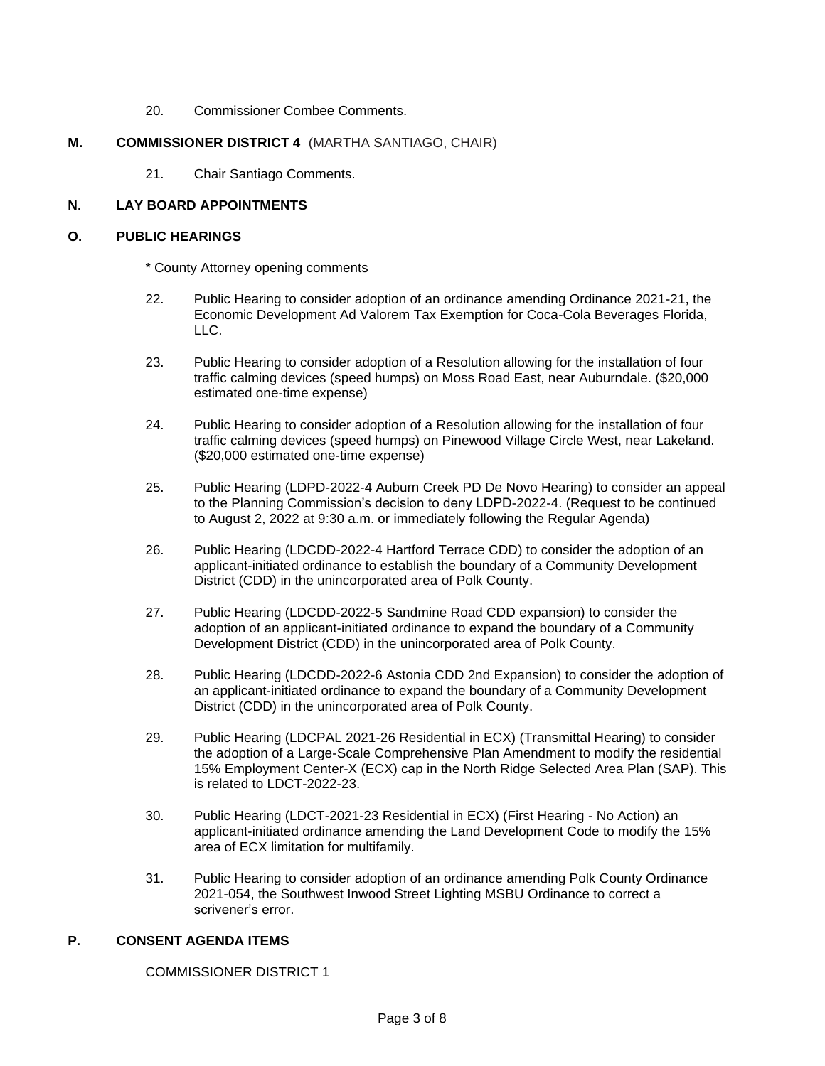20. Commissioner Combee Comments.

## **M. COMMISSIONER DISTRICT 4** (MARTHA SANTIAGO, CHAIR)

21. Chair Santiago Comments.

#### **N. LAY BOARD APPOINTMENTS**

#### **O. PUBLIC HEARINGS**

\* County Attorney opening comments

- 22. Public Hearing to consider adoption of an ordinance amending Ordinance 2021-21, the Economic Development Ad Valorem Tax Exemption for Coca-Cola Beverages Florida, LLC.
- 23. Public Hearing to consider adoption of a Resolution allowing for the installation of four traffic calming devices (speed humps) on Moss Road East, near Auburndale. (\$20,000 estimated one-time expense)
- 24. Public Hearing to consider adoption of a Resolution allowing for the installation of four traffic calming devices (speed humps) on Pinewood Village Circle West, near Lakeland. (\$20,000 estimated one-time expense)
- 25. Public Hearing (LDPD-2022-4 Auburn Creek PD De Novo Hearing) to consider an appeal to the Planning Commission's decision to deny LDPD-2022-4. (Request to be continued to August 2, 2022 at 9:30 a.m. or immediately following the Regular Agenda)
- 26. Public Hearing (LDCDD-2022-4 Hartford Terrace CDD) to consider the adoption of an applicant-initiated ordinance to establish the boundary of a Community Development District (CDD) in the unincorporated area of Polk County.
- 27. Public Hearing (LDCDD-2022-5 Sandmine Road CDD expansion) to consider the adoption of an applicant-initiated ordinance to expand the boundary of a Community Development District (CDD) in the unincorporated area of Polk County.
- 28. Public Hearing (LDCDD-2022-6 Astonia CDD 2nd Expansion) to consider the adoption of an applicant-initiated ordinance to expand the boundary of a Community Development District (CDD) in the unincorporated area of Polk County.
- 29. Public Hearing (LDCPAL 2021-26 Residential in ECX) (Transmittal Hearing) to consider the adoption of a Large-Scale Comprehensive Plan Amendment to modify the residential 15% Employment Center-X (ECX) cap in the North Ridge Selected Area Plan (SAP). This is related to LDCT-2022-23.
- 30. Public Hearing (LDCT-2021-23 Residential in ECX) (First Hearing No Action) an applicant-initiated ordinance amending the Land Development Code to modify the 15% area of ECX limitation for multifamily.
- 31. Public Hearing to consider adoption of an ordinance amending Polk County Ordinance 2021-054, the Southwest Inwood Street Lighting MSBU Ordinance to correct a scrivener's error.

## **P. CONSENT AGENDA ITEMS**

COMMISSIONER DISTRICT 1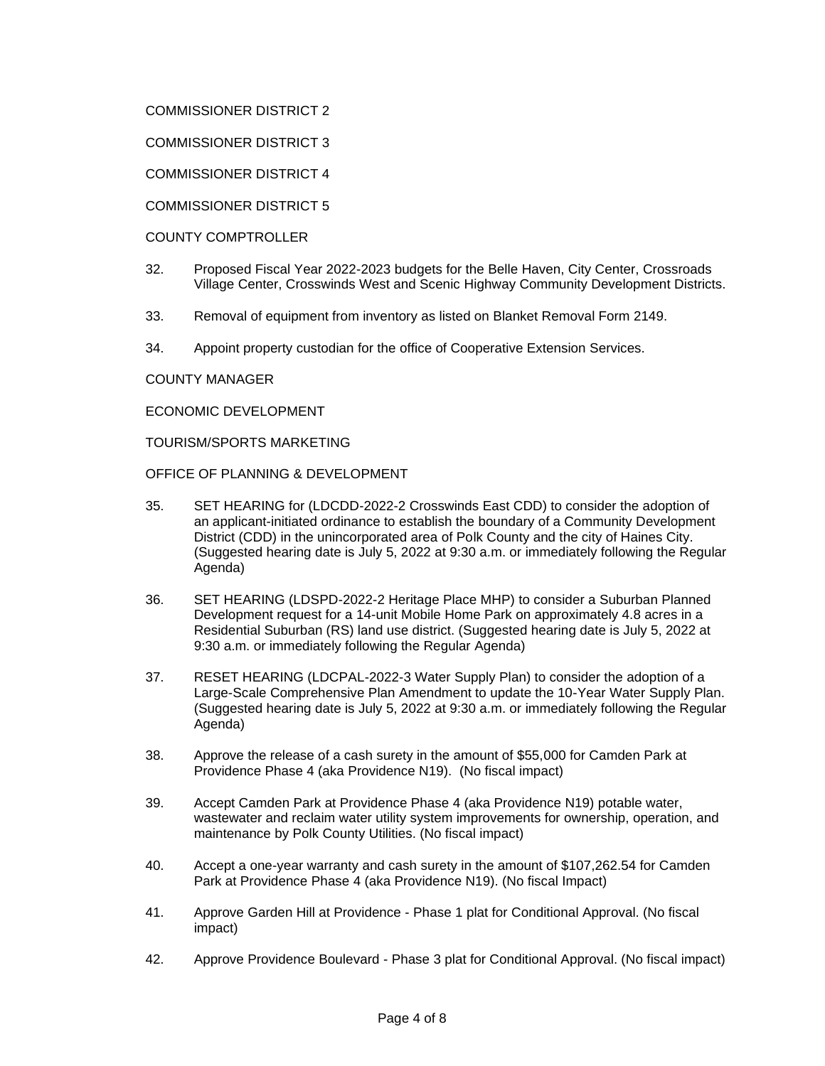## COMMISSIONER DISTRICT 2

COMMISSIONER DISTRICT 3

COMMISSIONER DISTRICT 4

COMMISSIONER DISTRICT 5

#### COUNTY COMPTROLLER

- 32. Proposed Fiscal Year 2022-2023 budgets for the Belle Haven, City Center, Crossroads Village Center, Crosswinds West and Scenic Highway Community Development Districts.
- 33. Removal of equipment from inventory as listed on Blanket Removal Form 2149.
- 34. Appoint property custodian for the office of Cooperative Extension Services.

#### COUNTY MANAGER

ECONOMIC DEVELOPMENT

TOURISM/SPORTS MARKETING

OFFICE OF PLANNING & DEVELOPMENT

- 35. SET HEARING for (LDCDD-2022-2 Crosswinds East CDD) to consider the adoption of an applicant-initiated ordinance to establish the boundary of a Community Development District (CDD) in the unincorporated area of Polk County and the city of Haines City. (Suggested hearing date is July 5, 2022 at 9:30 a.m. or immediately following the Regular Agenda)
- 36. SET HEARING (LDSPD-2022-2 Heritage Place MHP) to consider a Suburban Planned Development request for a 14-unit Mobile Home Park on approximately 4.8 acres in a Residential Suburban (RS) land use district. (Suggested hearing date is July 5, 2022 at 9:30 a.m. or immediately following the Regular Agenda)
- 37. RESET HEARING (LDCPAL-2022-3 Water Supply Plan) to consider the adoption of a Large-Scale Comprehensive Plan Amendment to update the 10-Year Water Supply Plan. (Suggested hearing date is July 5, 2022 at 9:30 a.m. or immediately following the Regular Agenda)
- 38. Approve the release of a cash surety in the amount of \$55,000 for Camden Park at Providence Phase 4 (aka Providence N19). (No fiscal impact)
- 39. Accept Camden Park at Providence Phase 4 (aka Providence N19) potable water, wastewater and reclaim water utility system improvements for ownership, operation, and maintenance by Polk County Utilities. (No fiscal impact)
- 40. Accept a one-year warranty and cash surety in the amount of \$107,262.54 for Camden Park at Providence Phase 4 (aka Providence N19). (No fiscal Impact)
- 41. Approve Garden Hill at Providence Phase 1 plat for Conditional Approval. (No fiscal impact)
- 42. Approve Providence Boulevard Phase 3 plat for Conditional Approval. (No fiscal impact)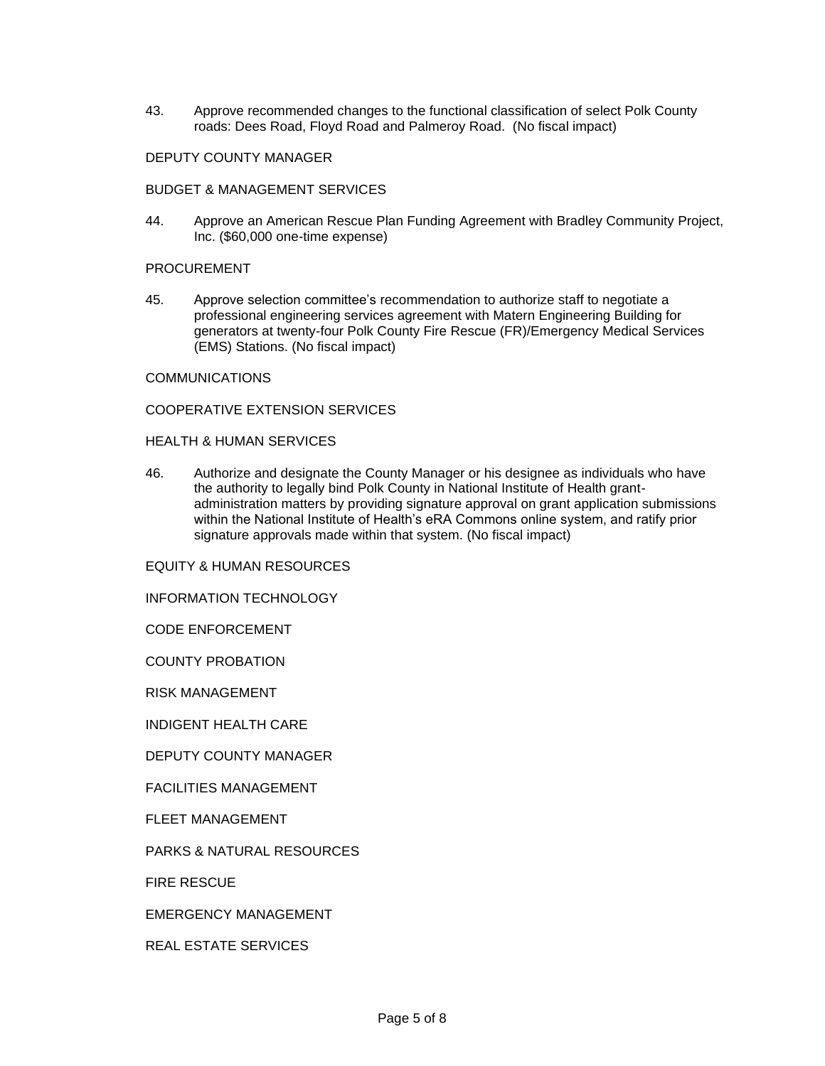43. Approve recommended changes to the functional classification of select Polk County roads: Dees Road, Floyd Road and Palmeroy Road. (No fiscal impact)

# DEPUTY COUNTY MANAGER

#### BUDGET & MANAGEMENT SERVICES

44. Approve an American Rescue Plan Funding Agreement with Bradley Community Project, Inc. (\$60,000 one-time expense)

#### PROCUREMENT

45. Approve selection committee's recommendation to authorize staff to negotiate a professional engineering services agreement with Matern Engineering Building for generators at twenty-four Polk County Fire Rescue (FR)/Emergency Medical Services (EMS) Stations. (No fiscal impact)

#### COMMUNICATIONS

#### COOPERATIVE EXTENSION SERVICES

#### HEALTH & HUMAN SERVICES

46. Authorize and designate the County Manager or his designee as individuals who have the authority to legally bind Polk County in National Institute of Health grantadministration matters by providing signature approval on grant application submissions within the National Institute of Health's eRA Commons online system, and ratify prior signature approvals made within that system. (No fiscal impact)

EQUITY & HUMAN RESOURCES

INFORMATION TECHNOLOGY

CODE ENFORCEMENT

COUNTY PROBATION

RISK MANAGEMENT

INDIGENT HEALTH CARE

DEPUTY COUNTY MANAGER

FACILITIES MANAGEMENT

FLEET MANAGEMENT

PARKS & NATURAL RESOURCES

FIRE RESCUE

EMERGENCY MANAGEMENT

REAL ESTATE SERVICES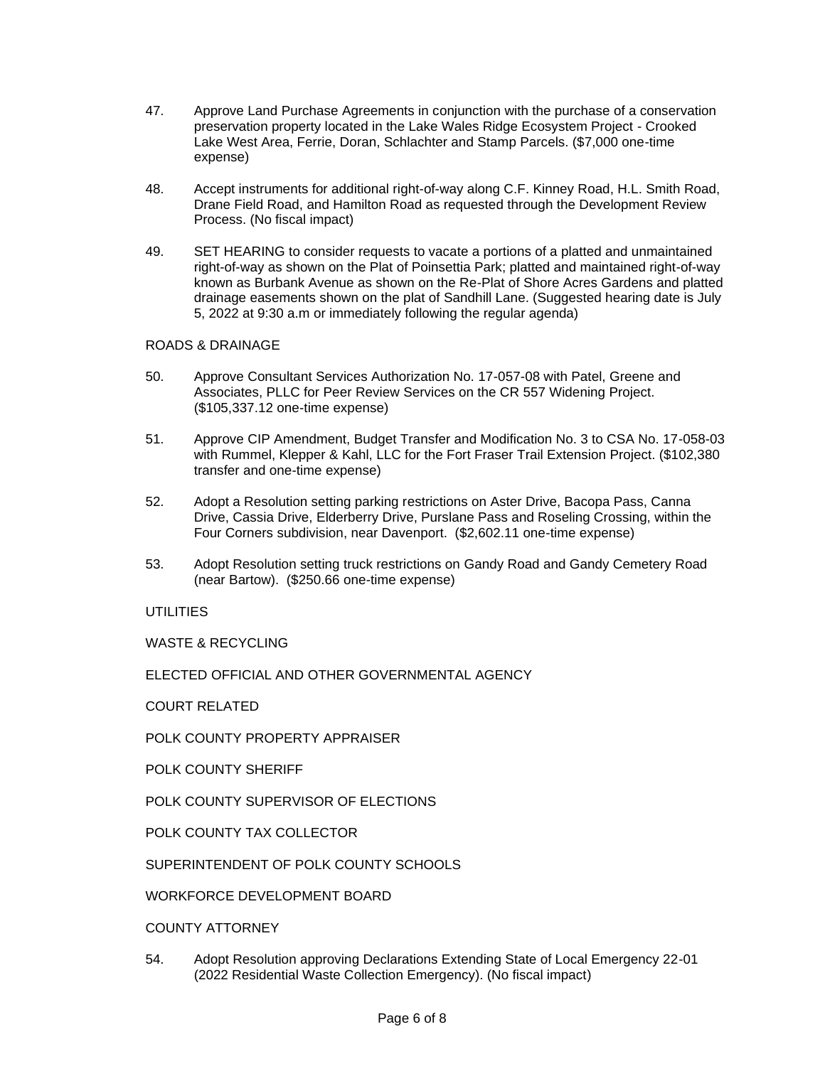- 47. Approve Land Purchase Agreements in conjunction with the purchase of a conservation preservation property located in the Lake Wales Ridge Ecosystem Project - Crooked Lake West Area, Ferrie, Doran, Schlachter and Stamp Parcels. (\$7,000 one-time expense)
- 48. Accept instruments for additional right-of-way along C.F. Kinney Road, H.L. Smith Road, Drane Field Road, and Hamilton Road as requested through the Development Review Process. (No fiscal impact)
- 49. SET HEARING to consider requests to vacate a portions of a platted and unmaintained right-of-way as shown on the Plat of Poinsettia Park; platted and maintained right-of-way known as Burbank Avenue as shown on the Re-Plat of Shore Acres Gardens and platted drainage easements shown on the plat of Sandhill Lane. (Suggested hearing date is July 5, 2022 at 9:30 a.m or immediately following the regular agenda)

## ROADS & DRAINAGE

- 50. Approve Consultant Services Authorization No. 17-057-08 with Patel, Greene and Associates, PLLC for Peer Review Services on the CR 557 Widening Project. (\$105,337.12 one-time expense)
- 51. Approve CIP Amendment, Budget Transfer and Modification No. 3 to CSA No. 17-058-03 with Rummel, Klepper & Kahl, LLC for the Fort Fraser Trail Extension Project. (\$102,380 transfer and one-time expense)
- 52. Adopt a Resolution setting parking restrictions on Aster Drive, Bacopa Pass, Canna Drive, Cassia Drive, Elderberry Drive, Purslane Pass and Roseling Crossing, within the Four Corners subdivision, near Davenport. (\$2,602.11 one-time expense)
- 53. Adopt Resolution setting truck restrictions on Gandy Road and Gandy Cemetery Road (near Bartow). (\$250.66 one-time expense)

#### UTILITIES

WASTE & RECYCLING

ELECTED OFFICIAL AND OTHER GOVERNMENTAL AGENCY

COURT RELATED

POLK COUNTY PROPERTY APPRAISER

POLK COUNTY SHERIFF

POLK COUNTY SUPERVISOR OF ELECTIONS

POLK COUNTY TAX COLLECTOR

SUPERINTENDENT OF POLK COUNTY SCHOOLS

WORKFORCE DEVELOPMENT BOARD

COUNTY ATTORNEY

54. Adopt Resolution approving Declarations Extending State of Local Emergency 22-01 (2022 Residential Waste Collection Emergency). (No fiscal impact)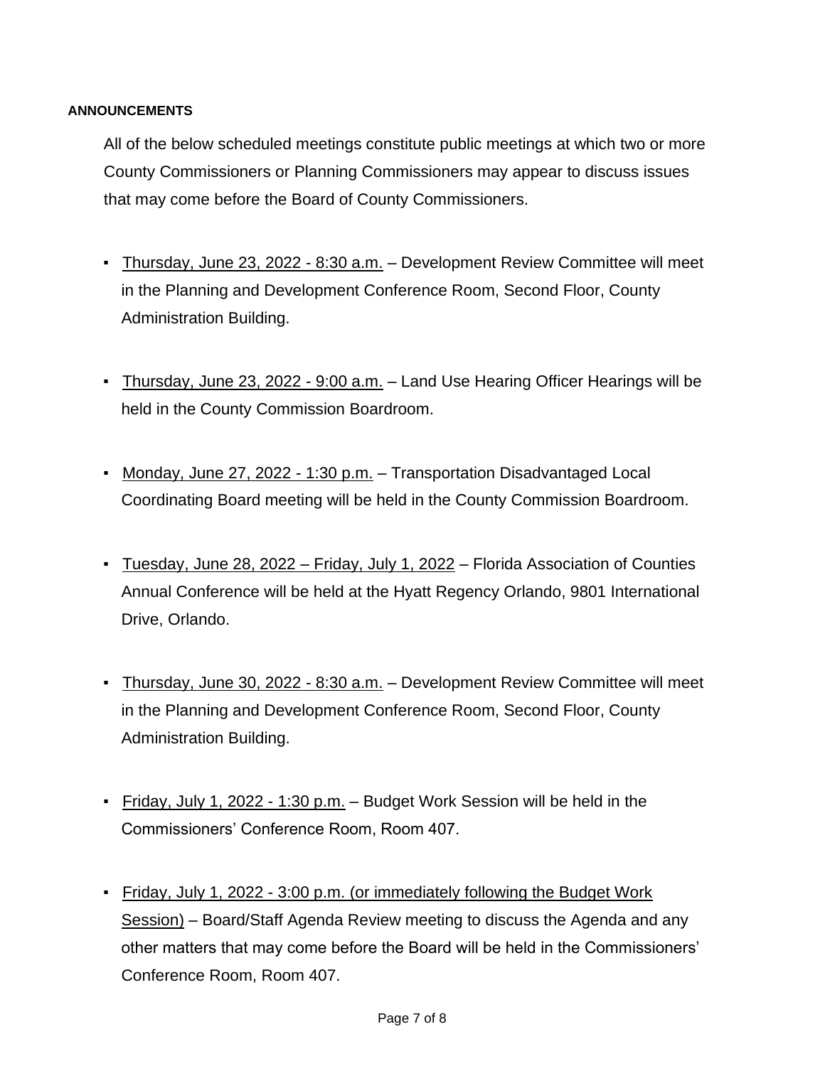# **ANNOUNCEMENTS**

All of the below scheduled meetings constitute public meetings at which two or more County Commissioners or Planning Commissioners may appear to discuss issues that may come before the Board of County Commissioners.

- Thursday, June 23, 2022 8:30 a.m. Development Review Committee will meet in the Planning and Development Conference Room, Second Floor, County Administration Building.
- **Thursday, June 23, 2022 9:00 a.m.** Land Use Hearing Officer Hearings will be held in the County Commission Boardroom.
- Monday, June 27, 2022 1:30 p.m. Transportation Disadvantaged Local Coordinating Board meeting will be held in the County Commission Boardroom.
- Tuesday, June 28, 2022 Friday, July 1, 2022 Florida Association of Counties Annual Conference will be held at the Hyatt Regency Orlando, 9801 International Drive, Orlando.
- Thursday, June 30, 2022 8:30 a.m. Development Review Committee will meet in the Planning and Development Conference Room, Second Floor, County Administration Building.
- Friday, July 1, 2022 1:30 p.m. Budget Work Session will be held in the Commissioners' Conference Room, Room 407.
- Friday, July 1, 2022 3:00 p.m. (or immediately following the Budget Work Session) – Board/Staff Agenda Review meeting to discuss the Agenda and any other matters that may come before the Board will be held in the Commissioners' Conference Room, Room 407.